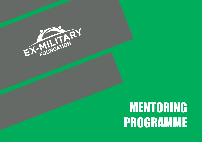

# mentoring programme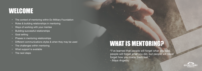## **WELCOME**

- The context of mentoring within Ex-Military Foundation
- Roles & building relationships in mentoring
- Ways of working with your mentee
- Building successful relationships
- Goal setting
- Phases in mentoring relationships
- Different communications styles & when they may be used
- The challenges within mentoring
- What support is available
- The next steps

# WHAT IS MENTORING?

"I've learned that people will forget what you said, people will forget what you did, but people will never forget how you made them feel." *- Maya Angelou*

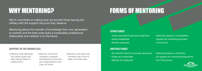# Forms of mentoring

### **STRUCTURED**

## WHY MENTORING?

We're committed to making sure we provide those leaving the military with the support structure they deserve.

Mentoring allows the transfer of knowledge from one 'generation' to another and the best ones build a sustainable professional relationship and network in to the future.

- Tied to business & personal objectives
- Goals established
- Results measured
- Matching based on compatibility
- Support for mentoring provided
- Time bound

### **Unstructured**

- Not directly linked to business objectives
- Goals are unspecified
- Results not measured

- Matching based on chemistry
- No support for mentoring programme
- Not Time bound



### **Support in the workplace**

**|** Mentors help Mentees set career goals and start taking steps to realise them.

**|** Mentors introduce mentees to people, professional resources, and organisations they may not know.

**|** Mentors can help their mentees learn how to seek and keep jobs.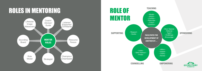## Roles in mentoring





- 
- 
- 
- 
- 

- Affirm -
- Inspire -
- Clarify -
- Advise -



### **Spon soring**

- Door Opener - Referral - - Agent - - Challenge -
- Encourage -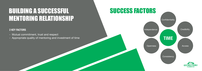# Building a successful mentoring relationshiP

### Success factorS

### **2 key factors**

- Mutual commitment, trust and respect
- Appropriate quality of mentoring and investment of time

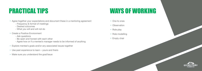- Agree together your expectations and document these in a mentoring agreement
	- Frequency & format of meetings
	- Desired outcomes
	- What you will and will not do
- Create a Positive Environment
	- Ask questions
	- Be open and honest with each other
	- Agree how or if a mentee's manager needs to be informed of anything
- Explore mentee's goals and/or any associated issues together
- Use past experience to learn yours and theirs
- Make sure you understand the goal/issue

### **PRACTICAL TIPS WAYS OF WORKING**

- One to ones
- Observation
- Role play
- Role modelling
- Empty chair

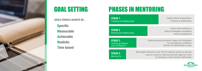## Goal setting Phases in mentoring

**Stage 2** Building the Relationship

**Stage 3** Achieving Mastery and Confidence

Know what working on Risks & strategies considered Actions established

Goals are being achieved, happy with strategies You are gaining confidence Review the relationship or goal



**Stage 4** Moving On

Both agree objectives met. Find no specific issues to discuss Less of a need to meet up and both agree to move on/change to more informal relationship





**Goals should always be...**

**Specific Measurable Achievable Realistic Time based**

**Stage 1** Creating the Relationship Clarify roles & expectations Purpose of relationship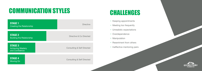## Communication styles

| <b>STAGE 1</b><br><b>Creating the Relationship</b>           | <b>Directive</b>                      |
|--------------------------------------------------------------|---------------------------------------|
| <b>STAGE 2</b><br><b>Building the Relationship</b>           | Directive & Co Directed               |
| <b>STAGE 3</b><br><b>Achieving Mastery</b><br>and Confidence | <b>Consulting &amp; Self Directed</b> |
| <b>STAGE 4</b><br>Moving On                                  | <b>Consulting &amp; Self Directed</b> |

### Challenges

- Keeping appointments
- Meeting too frequently
- Unrealistic expectations
- Overdependence
- Manipulation
- Resentment from others
- Ineffective mentoring pairs